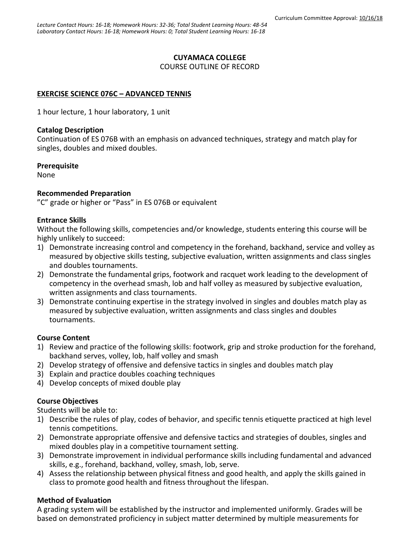#### **CUYAMACA COLLEGE**

COURSE OUTLINE OF RECORD

### **EXERCISE SCIENCE 076C – ADVANCED TENNIS**

1 hour lecture, 1 hour laboratory, 1 unit

#### **Catalog Description**

Continuation of ES 076B with an emphasis on advanced techniques, strategy and match play for singles, doubles and mixed doubles.

#### **Prerequisite**

None

#### **Recommended Preparation**

"C" grade or higher or "Pass" in ES 076B or equivalent

#### **Entrance Skills**

Without the following skills, competencies and/or knowledge, students entering this course will be highly unlikely to succeed:

- 1) Demonstrate increasing control and competency in the forehand, backhand, service and volley as measured by objective skills testing, subjective evaluation, written assignments and class singles and doubles tournaments.
- 2) Demonstrate the fundamental grips, footwork and racquet work leading to the development of competency in the overhead smash, lob and half volley as measured by subjective evaluation, written assignments and class tournaments.
- 3) Demonstrate continuing expertise in the strategy involved in singles and doubles match play as measured by subjective evaluation, written assignments and class singles and doubles tournaments.

### **Course Content**

- 1) Review and practice of the following skills: footwork, grip and stroke production for the forehand, backhand serves, volley, lob, half volley and smash
- 2) Develop strategy of offensive and defensive tactics in singles and doubles match play
- 3) Explain and practice doubles coaching techniques
- 4) Develop concepts of mixed double play

### **Course Objectives**

Students will be able to:

- 1) Describe the rules of play, codes of behavior, and specific tennis etiquette practiced at high level tennis competitions.
- 2) Demonstrate appropriate offensive and defensive tactics and strategies of doubles, singles and mixed doubles play in a competitive tournament setting.
- 3) Demonstrate improvement in individual performance skills including fundamental and advanced skills, e.g., forehand, backhand, volley, smash, lob, serve.
- 4) Assess the relationship between physical fitness and good health, and apply the skills gained in class to promote good health and fitness throughout the lifespan.

### **Method of Evaluation**

A grading system will be established by the instructor and implemented uniformly. Grades will be based on demonstrated proficiency in subject matter determined by multiple measurements for